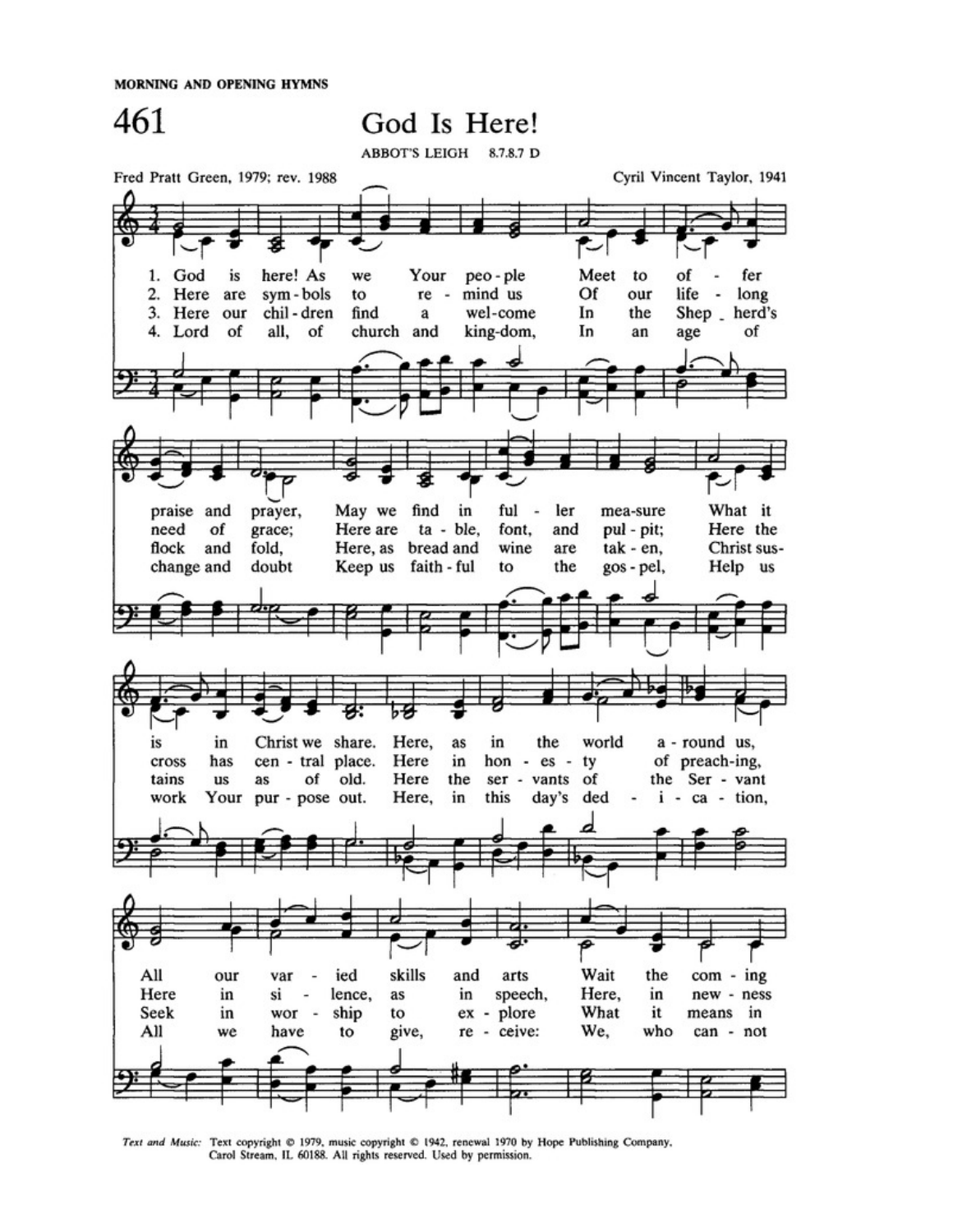MORNING AND OPENING HYMNS



Text and Music: Text copyright @ 1979, music copyright @ 1942, renewal 1970 by Hope Publishing Company, Carol Stream, IL 60188. All rights reserved. Used by permission.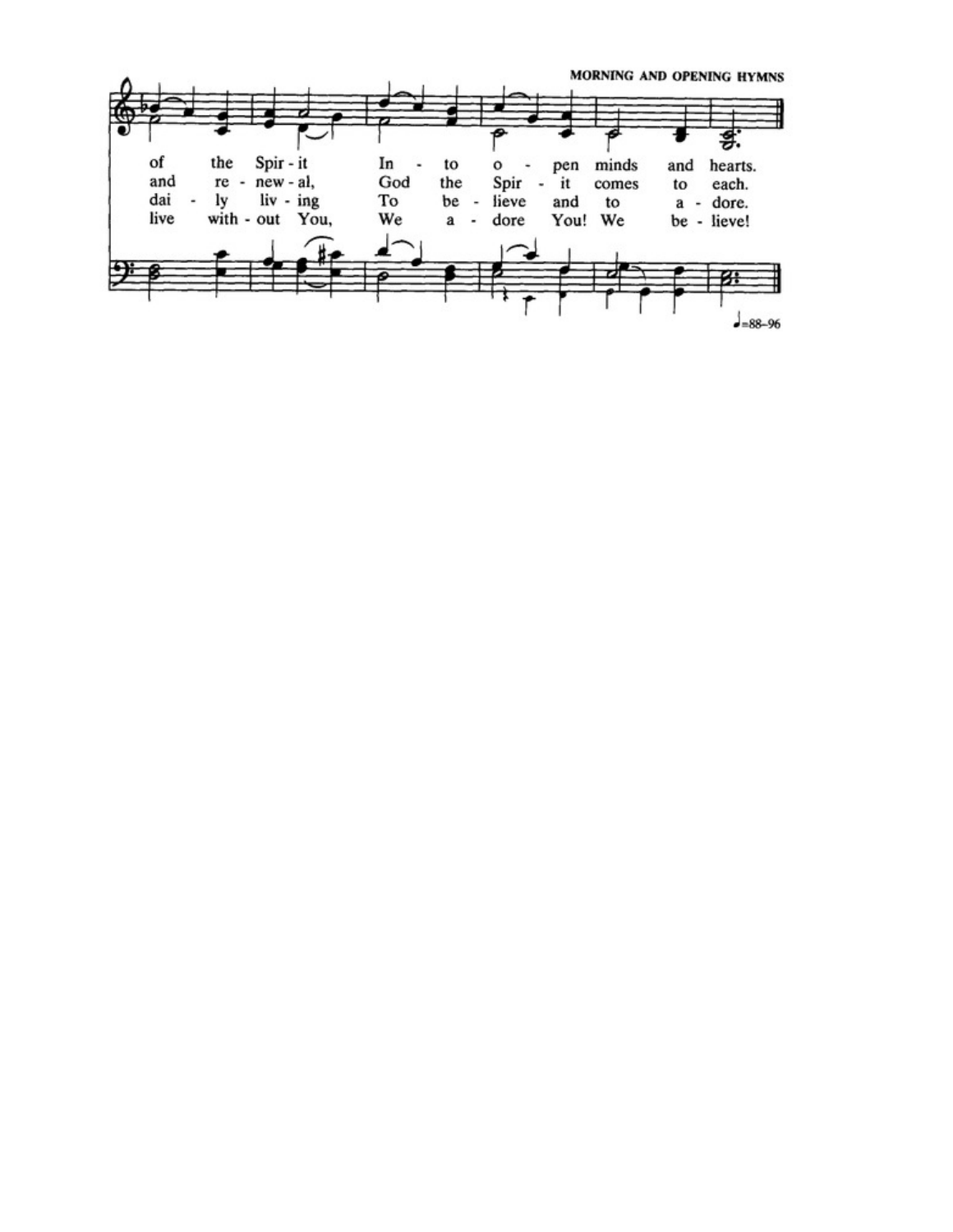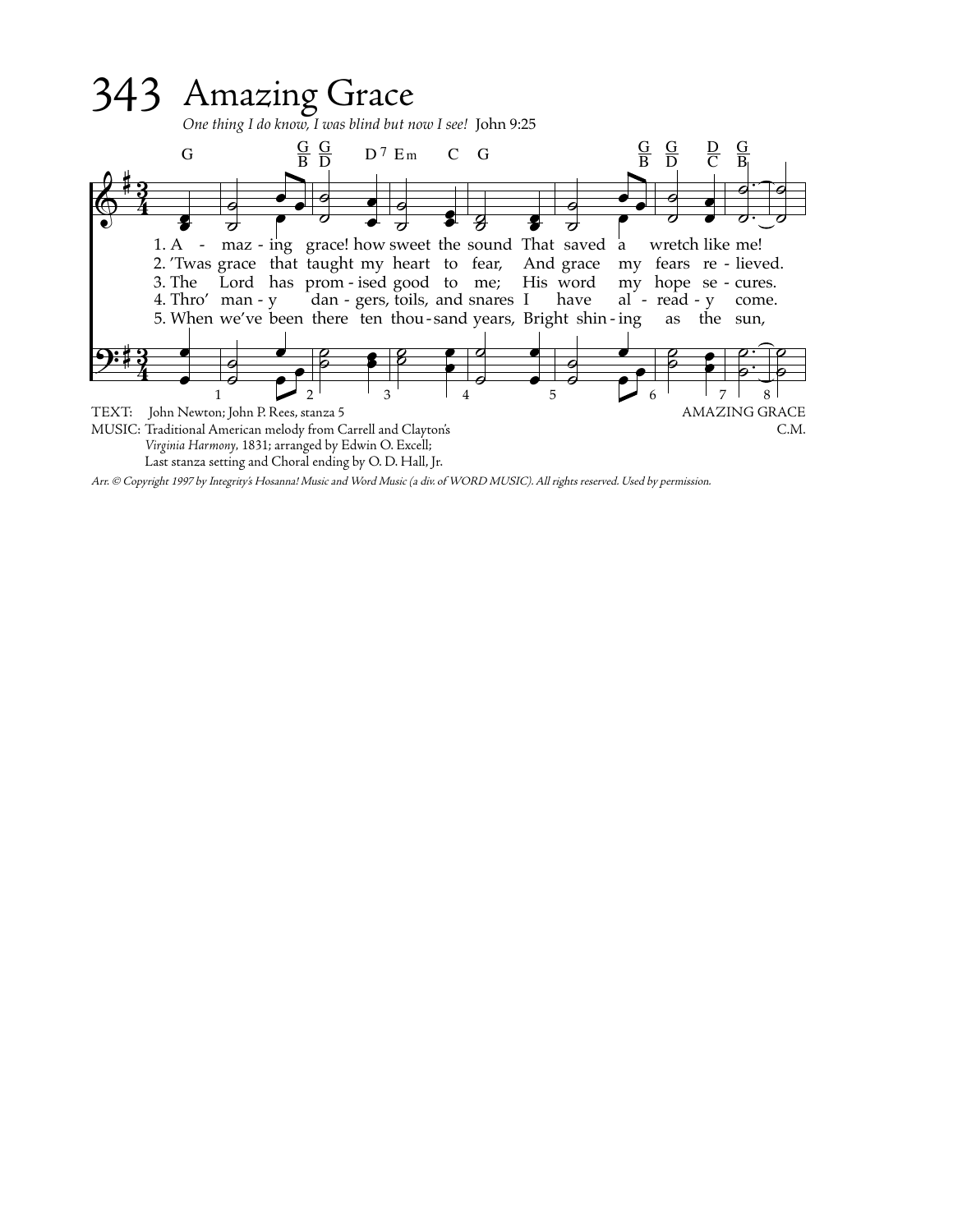

Arr. © Copyright 1997 by Integrity's Hosanna! Music and Word Music (a div. of WORD MUSIC). All rights reserved. Used by permission.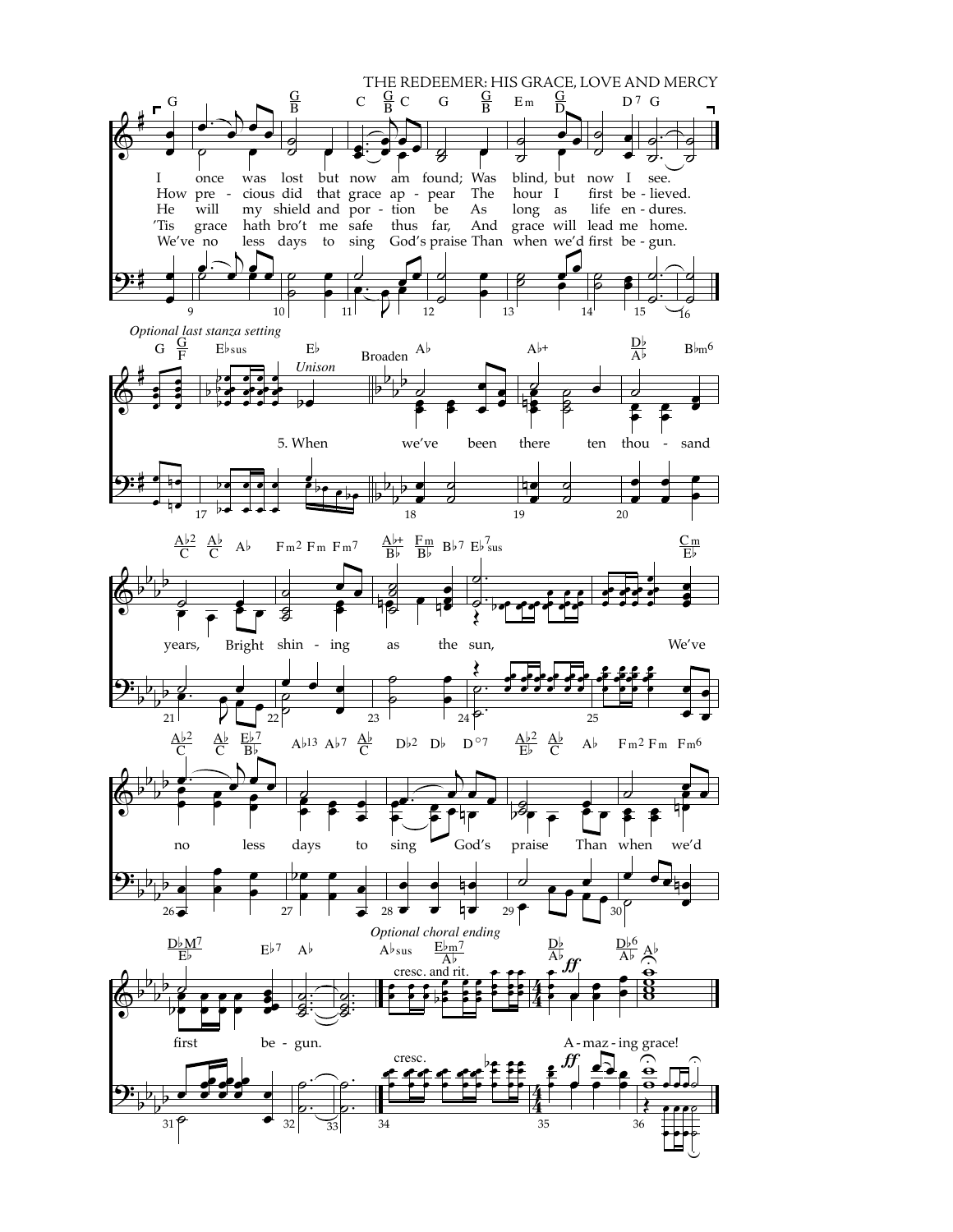